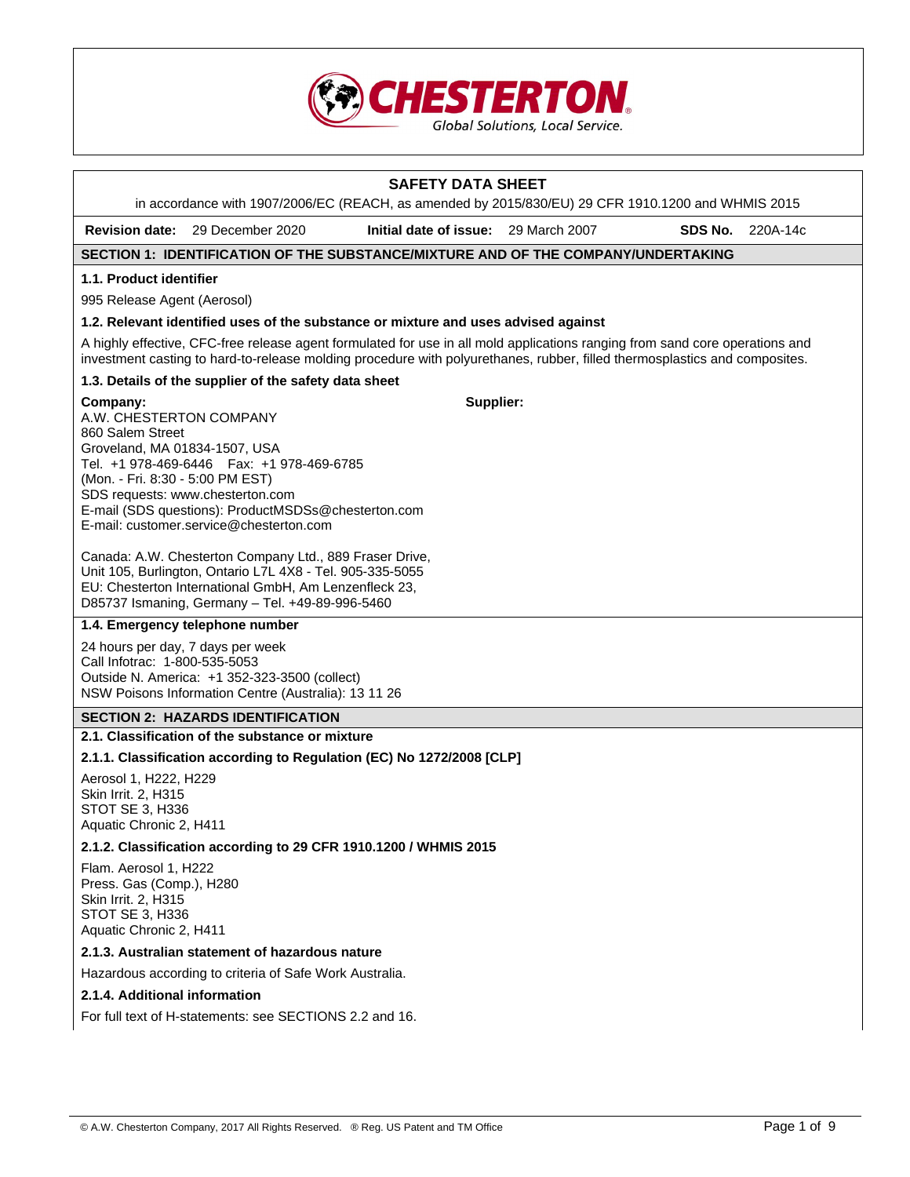

|                                                                                                                              | in accordance with 1907/2006/EC (REACH, as amended by 2015/830/EU) 29 CFR 1910.1200 and WHMIS 2015                                                                                                                                                         | <b>SAFETY DATA SHEET</b>             |         |          |
|------------------------------------------------------------------------------------------------------------------------------|------------------------------------------------------------------------------------------------------------------------------------------------------------------------------------------------------------------------------------------------------------|--------------------------------------|---------|----------|
| <b>Revision date:</b>                                                                                                        | 29 December 2020                                                                                                                                                                                                                                           | Initial date of issue: 29 March 2007 | SDS No. | 220A-14c |
|                                                                                                                              | SECTION 1: IDENTIFICATION OF THE SUBSTANCE/MIXTURE AND OF THE COMPANY/UNDERTAKING                                                                                                                                                                          |                                      |         |          |
| 1.1. Product identifier                                                                                                      |                                                                                                                                                                                                                                                            |                                      |         |          |
| 995 Release Agent (Aerosol)                                                                                                  |                                                                                                                                                                                                                                                            |                                      |         |          |
|                                                                                                                              | 1.2. Relevant identified uses of the substance or mixture and uses advised against                                                                                                                                                                         |                                      |         |          |
|                                                                                                                              | A highly effective, CFC-free release agent formulated for use in all mold applications ranging from sand core operations and<br>investment casting to hard-to-release molding procedure with polyurethanes, rubber, filled thermosplastics and composites. |                                      |         |          |
|                                                                                                                              | 1.3. Details of the supplier of the safety data sheet                                                                                                                                                                                                      |                                      |         |          |
| Company:<br>A.W. CHESTERTON COMPANY<br>860 Salem Street<br>Groveland, MA 01834-1507, USA<br>(Mon. - Fri. 8:30 - 5:00 PM EST) | Tel. +1 978-469-6446   Fax: +1 978-469-6785<br>SDS requests: www.chesterton.com<br>E-mail (SDS questions): ProductMSDSs@chesterton.com<br>E-mail: customer.service@chesterton.com                                                                          | Supplier:                            |         |          |
|                                                                                                                              | Canada: A.W. Chesterton Company Ltd., 889 Fraser Drive,<br>Unit 105, Burlington, Ontario L7L 4X8 - Tel. 905-335-5055<br>EU: Chesterton International GmbH, Am Lenzenfleck 23,<br>D85737 Ismaning, Germany - Tel. +49-89-996-5460                           |                                      |         |          |
|                                                                                                                              | 1.4. Emergency telephone number                                                                                                                                                                                                                            |                                      |         |          |
| Call Infotrac: 1-800-535-5053                                                                                                | 24 hours per day, 7 days per week<br>Outside N. America: +1 352-323-3500 (collect)<br>NSW Poisons Information Centre (Australia): 13 11 26                                                                                                                 |                                      |         |          |
|                                                                                                                              | <b>SECTION 2: HAZARDS IDENTIFICATION</b>                                                                                                                                                                                                                   |                                      |         |          |
|                                                                                                                              | 2.1. Classification of the substance or mixture                                                                                                                                                                                                            |                                      |         |          |
|                                                                                                                              | 2.1.1. Classification according to Regulation (EC) No 1272/2008 [CLP]                                                                                                                                                                                      |                                      |         |          |
| Aerosol 1, H222, H229<br>Skin Irrit. 2, H315<br>STOT SE 3, H336<br>Aquatic Chronic 2, H411                                   |                                                                                                                                                                                                                                                            |                                      |         |          |
|                                                                                                                              | 2.1.2. Classification according to 29 CFR 1910.1200 / WHMIS 2015                                                                                                                                                                                           |                                      |         |          |
| Flam. Aerosol 1, H222<br>Press. Gas (Comp.), H280<br>Skin Irrit. 2, H315<br>STOT SE 3, H336<br>Aquatic Chronic 2, H411       |                                                                                                                                                                                                                                                            |                                      |         |          |
|                                                                                                                              | 2.1.3. Australian statement of hazardous nature                                                                                                                                                                                                            |                                      |         |          |
|                                                                                                                              | Hazardous according to criteria of Safe Work Australia.                                                                                                                                                                                                    |                                      |         |          |
| 2.1.4. Additional information                                                                                                |                                                                                                                                                                                                                                                            |                                      |         |          |
|                                                                                                                              | For full text of H-statements: see SECTIONS 2.2 and 16.                                                                                                                                                                                                    |                                      |         |          |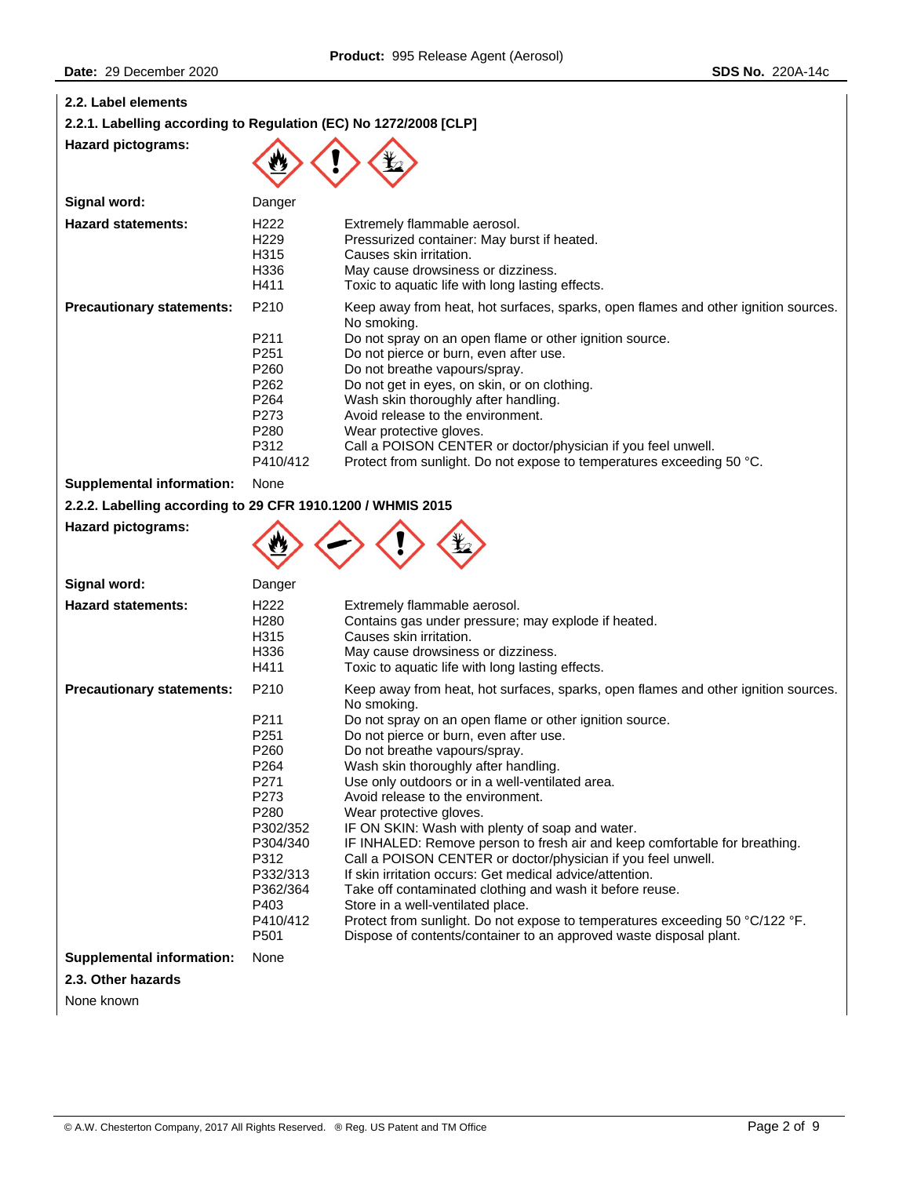| 2.2. Label elements                                              |                                                                                                                                                              |                                                                                                                                                                                                                                                                                                                                                                                                                                                                                                                                                                                                                                                                                                                                                                                                                                                                                                                        |
|------------------------------------------------------------------|--------------------------------------------------------------------------------------------------------------------------------------------------------------|------------------------------------------------------------------------------------------------------------------------------------------------------------------------------------------------------------------------------------------------------------------------------------------------------------------------------------------------------------------------------------------------------------------------------------------------------------------------------------------------------------------------------------------------------------------------------------------------------------------------------------------------------------------------------------------------------------------------------------------------------------------------------------------------------------------------------------------------------------------------------------------------------------------------|
| 2.2.1. Labelling according to Regulation (EC) No 1272/2008 [CLP] |                                                                                                                                                              |                                                                                                                                                                                                                                                                                                                                                                                                                                                                                                                                                                                                                                                                                                                                                                                                                                                                                                                        |
| <b>Hazard pictograms:</b>                                        |                                                                                                                                                              |                                                                                                                                                                                                                                                                                                                                                                                                                                                                                                                                                                                                                                                                                                                                                                                                                                                                                                                        |
| Signal word:                                                     | Danger                                                                                                                                                       |                                                                                                                                                                                                                                                                                                                                                                                                                                                                                                                                                                                                                                                                                                                                                                                                                                                                                                                        |
| <b>Hazard statements:</b>                                        | H <sub>222</sub><br>H <sub>229</sub><br>H315<br>H336<br>H411                                                                                                 | Extremely flammable aerosol.<br>Pressurized container: May burst if heated.<br>Causes skin irritation.<br>May cause drowsiness or dizziness.<br>Toxic to aquatic life with long lasting effects.                                                                                                                                                                                                                                                                                                                                                                                                                                                                                                                                                                                                                                                                                                                       |
| <b>Precautionary statements:</b>                                 | P210<br>P211<br>P251<br>P260<br>P262<br>P264<br>P273<br>P280<br>P312<br>P410/412                                                                             | Keep away from heat, hot surfaces, sparks, open flames and other ignition sources.<br>No smoking.<br>Do not spray on an open flame or other ignition source.<br>Do not pierce or burn, even after use.<br>Do not breathe vapours/spray.<br>Do not get in eyes, on skin, or on clothing.<br>Wash skin thoroughly after handling.<br>Avoid release to the environment.<br>Wear protective gloves.<br>Call a POISON CENTER or doctor/physician if you feel unwell.<br>Protect from sunlight. Do not expose to temperatures exceeding 50 °C.                                                                                                                                                                                                                                                                                                                                                                               |
| <b>Supplemental information:</b>                                 | None                                                                                                                                                         |                                                                                                                                                                                                                                                                                                                                                                                                                                                                                                                                                                                                                                                                                                                                                                                                                                                                                                                        |
| 2.2.2. Labelling according to 29 CFR 1910.1200 / WHMIS 2015      |                                                                                                                                                              |                                                                                                                                                                                                                                                                                                                                                                                                                                                                                                                                                                                                                                                                                                                                                                                                                                                                                                                        |
| <b>Hazard pictograms:</b>                                        |                                                                                                                                                              |                                                                                                                                                                                                                                                                                                                                                                                                                                                                                                                                                                                                                                                                                                                                                                                                                                                                                                                        |
| Signal word:                                                     | Danger                                                                                                                                                       |                                                                                                                                                                                                                                                                                                                                                                                                                                                                                                                                                                                                                                                                                                                                                                                                                                                                                                                        |
| <b>Hazard statements:</b>                                        | H <sub>222</sub><br>H <sub>280</sub><br>H315<br>H336<br>H411                                                                                                 | Extremely flammable aerosol.<br>Contains gas under pressure; may explode if heated.<br>Causes skin irritation.<br>May cause drowsiness or dizziness.<br>Toxic to aquatic life with long lasting effects.                                                                                                                                                                                                                                                                                                                                                                                                                                                                                                                                                                                                                                                                                                               |
| <b>Precautionary statements:</b>                                 | P210<br>P211<br>P251<br>P <sub>260</sub><br>P264<br>P271<br>P273<br>P280<br>P302/352<br>P304/340<br>P312<br>P332/313<br>P362/364<br>P403<br>P410/412<br>P501 | Keep away from heat, hot surfaces, sparks, open flames and other ignition sources.<br>No smoking.<br>Do not spray on an open flame or other ignition source.<br>Do not pierce or burn, even after use.<br>Do not breathe vapours/spray.<br>Wash skin thoroughly after handling.<br>Use only outdoors or in a well-ventilated area.<br>Avoid release to the environment.<br>Wear protective gloves.<br>IF ON SKIN: Wash with plenty of soap and water.<br>IF INHALED: Remove person to fresh air and keep comfortable for breathing.<br>Call a POISON CENTER or doctor/physician if you feel unwell.<br>If skin irritation occurs: Get medical advice/attention.<br>Take off contaminated clothing and wash it before reuse.<br>Store in a well-ventilated place.<br>Protect from sunlight. Do not expose to temperatures exceeding 50 °C/122 °F.<br>Dispose of contents/container to an approved waste disposal plant. |
| <b>Supplemental information:</b>                                 | None                                                                                                                                                         |                                                                                                                                                                                                                                                                                                                                                                                                                                                                                                                                                                                                                                                                                                                                                                                                                                                                                                                        |
| 2.3. Other hazards                                               |                                                                                                                                                              |                                                                                                                                                                                                                                                                                                                                                                                                                                                                                                                                                                                                                                                                                                                                                                                                                                                                                                                        |
| None known                                                       |                                                                                                                                                              |                                                                                                                                                                                                                                                                                                                                                                                                                                                                                                                                                                                                                                                                                                                                                                                                                                                                                                                        |
|                                                                  |                                                                                                                                                              |                                                                                                                                                                                                                                                                                                                                                                                                                                                                                                                                                                                                                                                                                                                                                                                                                                                                                                                        |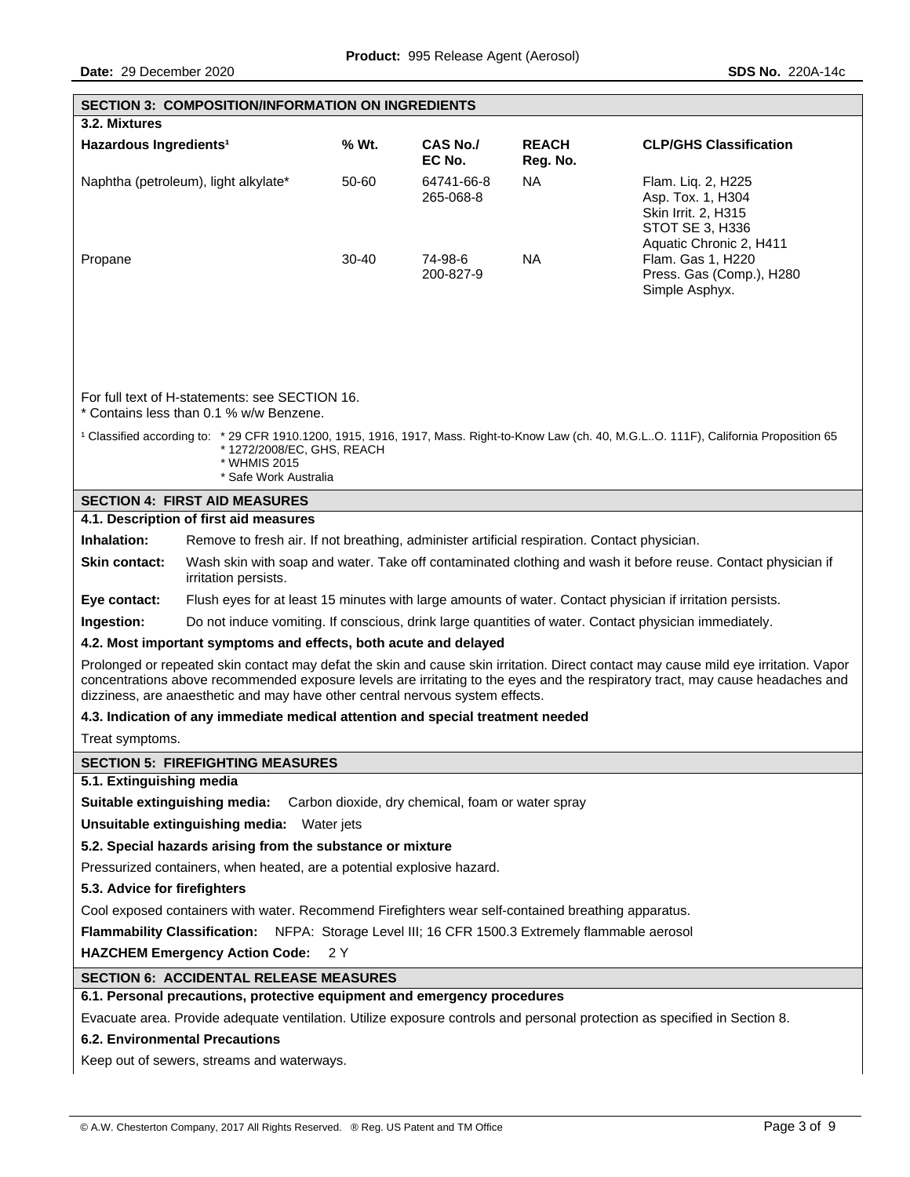|                                                                                                                                                                                                                                                                                                                                                         | <b>SECTION 3: COMPOSITION/INFORMATION ON INGREDIENTS</b>                                                                             |         |                                                   |                          |                                                                                                                                                       |
|---------------------------------------------------------------------------------------------------------------------------------------------------------------------------------------------------------------------------------------------------------------------------------------------------------------------------------------------------------|--------------------------------------------------------------------------------------------------------------------------------------|---------|---------------------------------------------------|--------------------------|-------------------------------------------------------------------------------------------------------------------------------------------------------|
| 3.2. Mixtures                                                                                                                                                                                                                                                                                                                                           |                                                                                                                                      |         |                                                   |                          |                                                                                                                                                       |
| Hazardous Ingredients <sup>1</sup>                                                                                                                                                                                                                                                                                                                      |                                                                                                                                      | % Wt.   | <b>CAS No./</b><br>EC No.                         | <b>REACH</b><br>Reg. No. | <b>CLP/GHS Classification</b>                                                                                                                         |
|                                                                                                                                                                                                                                                                                                                                                         | Naphtha (petroleum), light alkylate*                                                                                                 | 50-60   | 64741-66-8<br>265-068-8                           | <b>NA</b>                | Flam. Liq. 2, H225<br>Asp. Tox. 1, H304<br>Skin Irrit. 2, H315<br>STOT SE 3, H336<br>Aquatic Chronic 2, H411                                          |
| Propane                                                                                                                                                                                                                                                                                                                                                 |                                                                                                                                      | $30-40$ | 74-98-6<br>200-827-9                              | <b>NA</b>                | Flam. Gas 1, H220<br>Press. Gas (Comp.), H280<br>Simple Asphyx.                                                                                       |
|                                                                                                                                                                                                                                                                                                                                                         | For full text of H-statements: see SECTION 16.<br>* Contains less than 0.1 % w/w Benzene.                                            |         |                                                   |                          |                                                                                                                                                       |
|                                                                                                                                                                                                                                                                                                                                                         | *1272/2008/EC, GHS, REACH<br>* WHMIS 2015<br>* Safe Work Australia                                                                   |         |                                                   |                          | <sup>1</sup> Classified according to: * 29 CFR 1910.1200, 1915, 1916, 1917, Mass. Right-to-Know Law (ch. 40, M.G.LO. 111F), California Proposition 65 |
|                                                                                                                                                                                                                                                                                                                                                         | <b>SECTION 4: FIRST AID MEASURES</b>                                                                                                 |         |                                                   |                          |                                                                                                                                                       |
|                                                                                                                                                                                                                                                                                                                                                         | 4.1. Description of first aid measures                                                                                               |         |                                                   |                          |                                                                                                                                                       |
| Inhalation:                                                                                                                                                                                                                                                                                                                                             | Remove to fresh air. If not breathing, administer artificial respiration. Contact physician.                                         |         |                                                   |                          |                                                                                                                                                       |
| Skin contact:                                                                                                                                                                                                                                                                                                                                           | Wash skin with soap and water. Take off contaminated clothing and wash it before reuse. Contact physician if<br>irritation persists. |         |                                                   |                          |                                                                                                                                                       |
| Flush eyes for at least 15 minutes with large amounts of water. Contact physician if irritation persists.<br>Eye contact:                                                                                                                                                                                                                               |                                                                                                                                      |         |                                                   |                          |                                                                                                                                                       |
| Ingestion:<br>Do not induce vomiting. If conscious, drink large quantities of water. Contact physician immediately.                                                                                                                                                                                                                                     |                                                                                                                                      |         |                                                   |                          |                                                                                                                                                       |
| 4.2. Most important symptoms and effects, both acute and delayed                                                                                                                                                                                                                                                                                        |                                                                                                                                      |         |                                                   |                          |                                                                                                                                                       |
| Prolonged or repeated skin contact may defat the skin and cause skin irritation. Direct contact may cause mild eye irritation. Vapor<br>concentrations above recommended exposure levels are irritating to the eyes and the respiratory tract, may cause headaches and<br>dizziness, are anaesthetic and may have other central nervous system effects. |                                                                                                                                      |         |                                                   |                          |                                                                                                                                                       |
| 4.3. Indication of any immediate medical attention and special treatment needed                                                                                                                                                                                                                                                                         |                                                                                                                                      |         |                                                   |                          |                                                                                                                                                       |
| Treat symptoms.                                                                                                                                                                                                                                                                                                                                         |                                                                                                                                      |         |                                                   |                          |                                                                                                                                                       |
| <b>SECTION 5: FIREFIGHTING MEASURES</b>                                                                                                                                                                                                                                                                                                                 |                                                                                                                                      |         |                                                   |                          |                                                                                                                                                       |
| 5.1. Extinguishing media                                                                                                                                                                                                                                                                                                                                |                                                                                                                                      |         |                                                   |                          |                                                                                                                                                       |
| Suitable extinguishing media:                                                                                                                                                                                                                                                                                                                           |                                                                                                                                      |         | Carbon dioxide, dry chemical, foam or water spray |                          |                                                                                                                                                       |
|                                                                                                                                                                                                                                                                                                                                                         | Unsuitable extinguishing media: Water jets                                                                                           |         |                                                   |                          |                                                                                                                                                       |
|                                                                                                                                                                                                                                                                                                                                                         | 5.2. Special hazards arising from the substance or mixture                                                                           |         |                                                   |                          |                                                                                                                                                       |
|                                                                                                                                                                                                                                                                                                                                                         | Pressurized containers, when heated, are a potential explosive hazard.                                                               |         |                                                   |                          |                                                                                                                                                       |
| 5.3. Advice for firefighters                                                                                                                                                                                                                                                                                                                            |                                                                                                                                      |         |                                                   |                          |                                                                                                                                                       |
| Cool exposed containers with water. Recommend Firefighters wear self-contained breathing apparatus.                                                                                                                                                                                                                                                     |                                                                                                                                      |         |                                                   |                          |                                                                                                                                                       |
|                                                                                                                                                                                                                                                                                                                                                         | Flammability Classification: NFPA: Storage Level III; 16 CFR 1500.3 Extremely flammable aerosol                                      |         |                                                   |                          |                                                                                                                                                       |
| <b>HAZCHEM Emergency Action Code:</b><br>2 Y                                                                                                                                                                                                                                                                                                            |                                                                                                                                      |         |                                                   |                          |                                                                                                                                                       |
| <b>SECTION 6: ACCIDENTAL RELEASE MEASURES</b>                                                                                                                                                                                                                                                                                                           |                                                                                                                                      |         |                                                   |                          |                                                                                                                                                       |
|                                                                                                                                                                                                                                                                                                                                                         | 6.1. Personal precautions, protective equipment and emergency procedures                                                             |         |                                                   |                          |                                                                                                                                                       |
| Evacuate area. Provide adequate ventilation. Utilize exposure controls and personal protection as specified in Section 8.                                                                                                                                                                                                                               |                                                                                                                                      |         |                                                   |                          |                                                                                                                                                       |
| <b>6.2. Environmental Precautions</b>                                                                                                                                                                                                                                                                                                                   |                                                                                                                                      |         |                                                   |                          |                                                                                                                                                       |
|                                                                                                                                                                                                                                                                                                                                                         | Keep out of sewers, streams and waterways.                                                                                           |         |                                                   |                          |                                                                                                                                                       |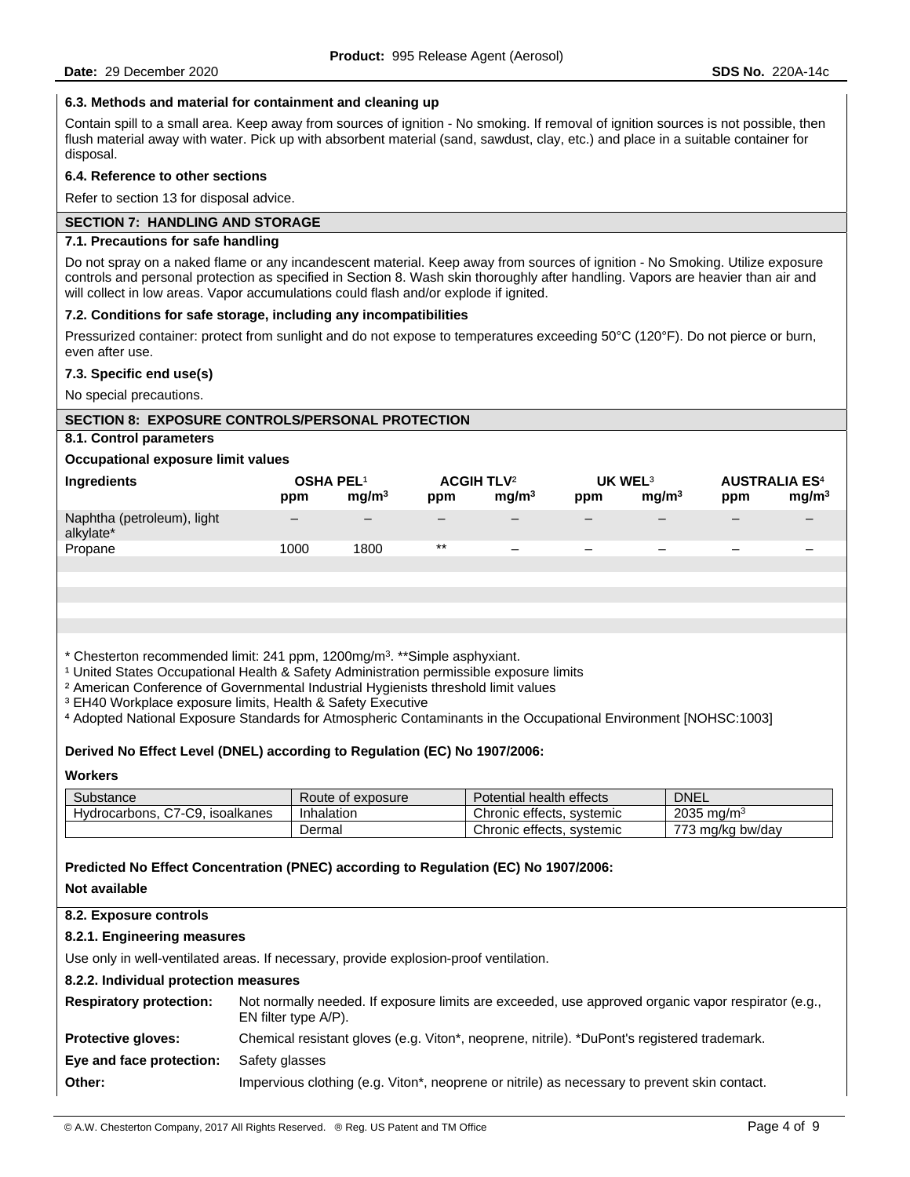## **6.3. Methods and material for containment and cleaning up**

Contain spill to a small area. Keep away from sources of ignition - No smoking. If removal of ignition sources is not possible, then flush material away with water. Pick up with absorbent material (sand, sawdust, clay, etc.) and place in a suitable container for disposal.

### **6.4. Reference to other sections**

Refer to section 13 for disposal advice.

## **SECTION 7: HANDLING AND STORAGE**

## **7.1. Precautions for safe handling**

Do not spray on a naked flame or any incandescent material. Keep away from sources of ignition - No Smoking. Utilize exposure controls and personal protection as specified in Section 8. Wash skin thoroughly after handling. Vapors are heavier than air and will collect in low areas. Vapor accumulations could flash and/or explode if ignited.

### **7.2. Conditions for safe storage, including any incompatibilities**

Pressurized container: protect from sunlight and do not expose to temperatures exceeding 50°C (120°F). Do not pierce or burn, even after use.

#### **7.3. Specific end use(s)**

No special precautions.

### **SECTION 8: EXPOSURE CONTROLS/PERSONAL PROTECTION**

## **8.1. Control parameters**

### **Occupational exposure limit values**

| Ingredients                             | <b>OSHA PEL1</b><br>ppm | mg/m <sup>3</sup> | <b>ACGIH TLV<sup>2</sup></b><br>ppm | mq/m <sup>3</sup>        | UK WEL <sup>3</sup><br>ppm | mq/m <sup>3</sup>        | <b>AUSTRALIA ES<sup>4</sup></b><br>ppm | mg/m <sup>3</sup> |
|-----------------------------------------|-------------------------|-------------------|-------------------------------------|--------------------------|----------------------------|--------------------------|----------------------------------------|-------------------|
| Naphtha (petroleum), light<br>alkylate* |                         |                   |                                     |                          | -                          |                          |                                        |                   |
| Propane                                 | 1000                    | 1800              | $\star\star$                        | $\overline{\phantom{m}}$ | $\overline{\phantom{0}}$   | $\overline{\phantom{0}}$ | $\overline{\phantom{0}}$               |                   |
|                                         |                         |                   |                                     |                          |                            |                          |                                        |                   |
|                                         |                         |                   |                                     |                          |                            |                          |                                        |                   |

\* Chesterton recommended limit: 241 ppm, 1200mg/m3. \*\*Simple asphyxiant.

<sup>1</sup> United States Occupational Health & Safety Administration permissible exposure limits

² American Conference of Governmental Industrial Hygienists threshold limit values

<sup>3</sup> EH40 Workplace exposure limits, Health & Safety Executive

⁴ Adopted National Exposure Standards for Atmospheric Contaminants in the Occupational Environment [NOHSC:1003]

### **Derived No Effect Level (DNEL) according to Regulation (EC) No 1907/2006:**

#### **Workers**

| Substance                       | Route of exposure | Potential health effects  | <b>DNEL</b>            |
|---------------------------------|-------------------|---------------------------|------------------------|
| Hydrocarbons, C7-C9, isoalkanes | Inhalation        | Chronic effects, systemic | 2035 mg/m <sup>3</sup> |
|                                 | Dermal            | Chronic effects, systemic | 773 mg/kg bw/day       |

**Predicted No Effect Concentration (PNEC) according to Regulation (EC) No 1907/2006:** 

#### **Not available**

## **8.2. Exposure controls**

## **8.2.1. Engineering measures**

Use only in well-ventilated areas. If necessary, provide explosion-proof ventilation.

## **8.2.2. Individual protection measures**

| <b>Respiratory protection:</b> | Not normally needed. If exposure limits are exceeded, use approved organic vapor respirator (e.g.,<br>EN filter type A/P). |
|--------------------------------|----------------------------------------------------------------------------------------------------------------------------|
| <b>Protective gloves:</b>      | Chemical resistant gloves (e.g. Viton <sup>*</sup> , neoprene, nitrile). *DuPont's registered trademark.                   |
| Eye and face protection:       | Safety glasses                                                                                                             |
| Other:                         | Impervious clothing (e.g. Viton <sup>*</sup> , neoprene or nitrile) as necessary to prevent skin contact.                  |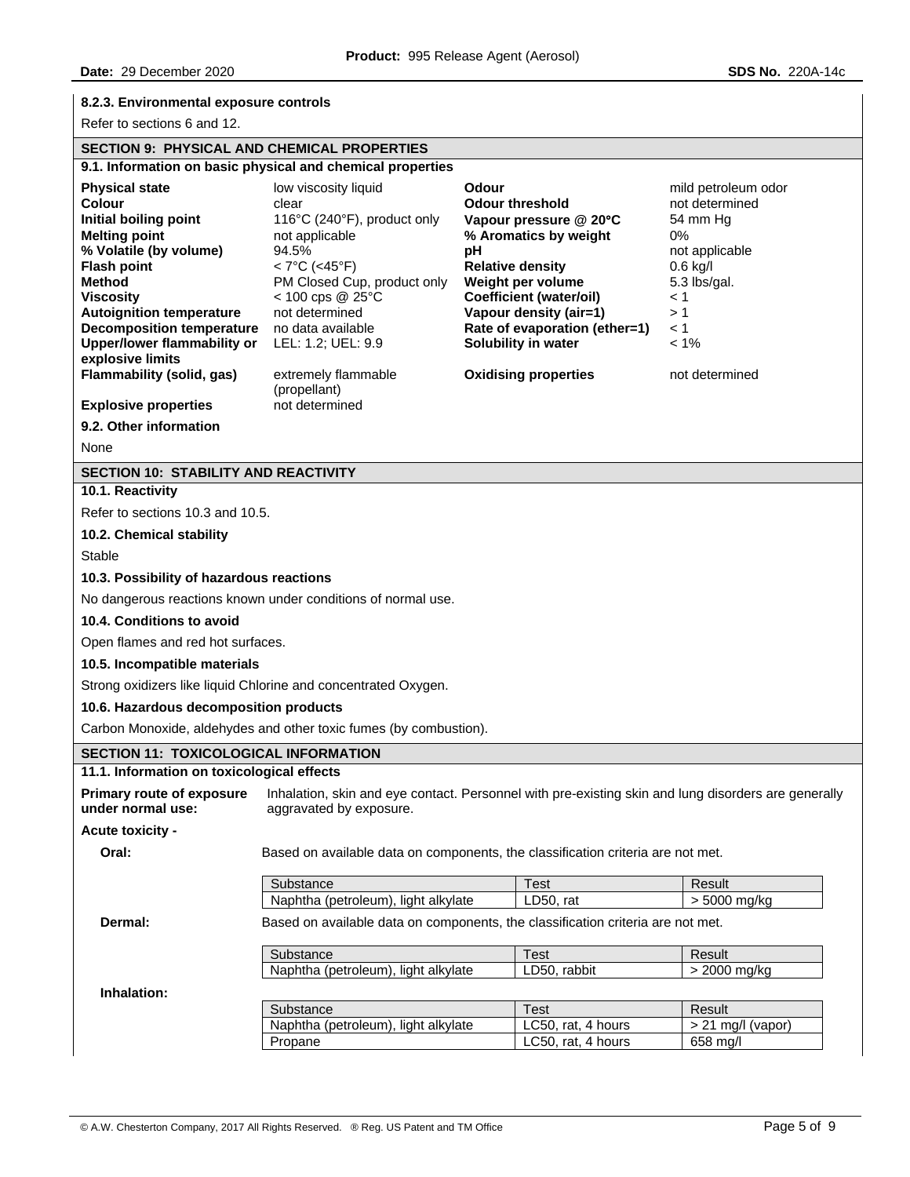# **8.2.3. Environmental exposure controls**

Refer to sections 6 and 12.

# **SECTION 9: PHYSICAL AND CHEMICAL PROPERTIES**

| SECTION 9: PHTSICAL AND CHEMICAL PROPERTIES                                                                                                                                                                                                                                                                                                                               |                                                                                                                                                                                                                                                                                                         |                                                                                                                                                                                                                                                                                             |                                                                                                                                                                    |
|---------------------------------------------------------------------------------------------------------------------------------------------------------------------------------------------------------------------------------------------------------------------------------------------------------------------------------------------------------------------------|---------------------------------------------------------------------------------------------------------------------------------------------------------------------------------------------------------------------------------------------------------------------------------------------------------|---------------------------------------------------------------------------------------------------------------------------------------------------------------------------------------------------------------------------------------------------------------------------------------------|--------------------------------------------------------------------------------------------------------------------------------------------------------------------|
|                                                                                                                                                                                                                                                                                                                                                                           | 9.1. Information on basic physical and chemical properties                                                                                                                                                                                                                                              |                                                                                                                                                                                                                                                                                             |                                                                                                                                                                    |
| <b>Physical state</b><br><b>Colour</b><br>Initial boiling point<br><b>Melting point</b><br>% Volatile (by volume)<br><b>Flash point</b><br><b>Method</b><br><b>Viscositv</b><br><b>Autoignition temperature</b><br><b>Decomposition temperature</b><br><b>Upper/lower flammability or</b><br>explosive limits<br>Flammability (solid, gas)<br><b>Explosive properties</b> | low viscosity liquid<br>clear<br>116°C (240°F), product only<br>not applicable<br>94.5%<br>$< 7^{\circ}$ C (<45°F)<br>PM Closed Cup, product only<br>$<$ 100 cps @ 25 $\degree$ C<br>not determined<br>no data available<br>LEL: 1.2; UEL: 9.9<br>extremely flammable<br>(propellant)<br>not determined | Odour<br><b>Odour threshold</b><br>Vapour pressure @ 20°C<br>% Aromatics by weight<br>pH<br><b>Relative density</b><br>Weight per volume<br><b>Coefficient (water/oil)</b><br>Vapour density (air=1)<br>Rate of evaporation (ether=1)<br>Solubility in water<br><b>Oxidising properties</b> | mild petroleum odor<br>not determined<br>54 mm Hg<br>0%<br>not applicable<br>$0.6$ kg/l<br>5.3 lbs/gal.<br>$\leq 1$<br>>1<br>$\leq 1$<br>$< 1\%$<br>not determined |
| 9.2. Other information                                                                                                                                                                                                                                                                                                                                                    |                                                                                                                                                                                                                                                                                                         |                                                                                                                                                                                                                                                                                             |                                                                                                                                                                    |
| None                                                                                                                                                                                                                                                                                                                                                                      |                                                                                                                                                                                                                                                                                                         |                                                                                                                                                                                                                                                                                             |                                                                                                                                                                    |
| <b>SECTION 10: STABILITY AND REACTIVITY</b>                                                                                                                                                                                                                                                                                                                               |                                                                                                                                                                                                                                                                                                         |                                                                                                                                                                                                                                                                                             |                                                                                                                                                                    |
| 10.1. Reactivity                                                                                                                                                                                                                                                                                                                                                          |                                                                                                                                                                                                                                                                                                         |                                                                                                                                                                                                                                                                                             |                                                                                                                                                                    |
| Refer to sections 10.3 and 10.5.                                                                                                                                                                                                                                                                                                                                          |                                                                                                                                                                                                                                                                                                         |                                                                                                                                                                                                                                                                                             |                                                                                                                                                                    |
| 10.2. Chemical stability                                                                                                                                                                                                                                                                                                                                                  |                                                                                                                                                                                                                                                                                                         |                                                                                                                                                                                                                                                                                             |                                                                                                                                                                    |
| <b>Stable</b>                                                                                                                                                                                                                                                                                                                                                             |                                                                                                                                                                                                                                                                                                         |                                                                                                                                                                                                                                                                                             |                                                                                                                                                                    |
| 10.3. Possibility of hazardous reactions                                                                                                                                                                                                                                                                                                                                  |                                                                                                                                                                                                                                                                                                         |                                                                                                                                                                                                                                                                                             |                                                                                                                                                                    |
|                                                                                                                                                                                                                                                                                                                                                                           | No dangerous reactions known under conditions of normal use.                                                                                                                                                                                                                                            |                                                                                                                                                                                                                                                                                             |                                                                                                                                                                    |
| 10.4. Conditions to avoid                                                                                                                                                                                                                                                                                                                                                 |                                                                                                                                                                                                                                                                                                         |                                                                                                                                                                                                                                                                                             |                                                                                                                                                                    |
| Open flames and red hot surfaces.                                                                                                                                                                                                                                                                                                                                         |                                                                                                                                                                                                                                                                                                         |                                                                                                                                                                                                                                                                                             |                                                                                                                                                                    |
| 10.5. Incompatible materials                                                                                                                                                                                                                                                                                                                                              |                                                                                                                                                                                                                                                                                                         |                                                                                                                                                                                                                                                                                             |                                                                                                                                                                    |
|                                                                                                                                                                                                                                                                                                                                                                           | Strong oxidizers like liquid Chlorine and concentrated Oxygen.                                                                                                                                                                                                                                          |                                                                                                                                                                                                                                                                                             |                                                                                                                                                                    |
| 10.6. Hazardous decomposition products                                                                                                                                                                                                                                                                                                                                    |                                                                                                                                                                                                                                                                                                         |                                                                                                                                                                                                                                                                                             |                                                                                                                                                                    |
|                                                                                                                                                                                                                                                                                                                                                                           | Carbon Monoxide, aldehydes and other toxic fumes (by combustion).                                                                                                                                                                                                                                       |                                                                                                                                                                                                                                                                                             |                                                                                                                                                                    |
| <b>SECTION 11: TOXICOLOGICAL INFORMATION</b>                                                                                                                                                                                                                                                                                                                              |                                                                                                                                                                                                                                                                                                         |                                                                                                                                                                                                                                                                                             |                                                                                                                                                                    |
| 11.1. Information on toxicological effects                                                                                                                                                                                                                                                                                                                                |                                                                                                                                                                                                                                                                                                         |                                                                                                                                                                                                                                                                                             |                                                                                                                                                                    |
| <b>Primary route of exposure</b><br>under normal use:                                                                                                                                                                                                                                                                                                                     | aggravated by exposure.                                                                                                                                                                                                                                                                                 | Inhalation, skin and eye contact. Personnel with pre-existing skin and lung disorders are generally                                                                                                                                                                                         |                                                                                                                                                                    |
| Acute toxicity -                                                                                                                                                                                                                                                                                                                                                          |                                                                                                                                                                                                                                                                                                         |                                                                                                                                                                                                                                                                                             |                                                                                                                                                                    |
| Oral:                                                                                                                                                                                                                                                                                                                                                                     |                                                                                                                                                                                                                                                                                                         | Based on available data on components, the classification criteria are not met.                                                                                                                                                                                                             |                                                                                                                                                                    |
|                                                                                                                                                                                                                                                                                                                                                                           | Substance                                                                                                                                                                                                                                                                                               | <b>Test</b>                                                                                                                                                                                                                                                                                 | Result                                                                                                                                                             |
|                                                                                                                                                                                                                                                                                                                                                                           | Naphtha (petroleum), light alkylate                                                                                                                                                                                                                                                                     | LD50, rat                                                                                                                                                                                                                                                                                   | $> 5000$ mg/kg                                                                                                                                                     |
| Dermal:                                                                                                                                                                                                                                                                                                                                                                   |                                                                                                                                                                                                                                                                                                         | Based on available data on components, the classification criteria are not met.                                                                                                                                                                                                             |                                                                                                                                                                    |
|                                                                                                                                                                                                                                                                                                                                                                           |                                                                                                                                                                                                                                                                                                         |                                                                                                                                                                                                                                                                                             |                                                                                                                                                                    |
|                                                                                                                                                                                                                                                                                                                                                                           | Substance<br>Naphtha (petroleum), light alkylate                                                                                                                                                                                                                                                        | <b>Test</b><br>LD50, rabbit                                                                                                                                                                                                                                                                 | Result<br>> 2000 mg/kg                                                                                                                                             |
|                                                                                                                                                                                                                                                                                                                                                                           |                                                                                                                                                                                                                                                                                                         |                                                                                                                                                                                                                                                                                             |                                                                                                                                                                    |
| Inhalation:                                                                                                                                                                                                                                                                                                                                                               |                                                                                                                                                                                                                                                                                                         | <b>Test</b>                                                                                                                                                                                                                                                                                 | Result                                                                                                                                                             |
|                                                                                                                                                                                                                                                                                                                                                                           | Substance                                                                                                                                                                                                                                                                                               |                                                                                                                                                                                                                                                                                             |                                                                                                                                                                    |

Naphtha (petroleum), light alkylate | LC50, rat, 4 hours | > 21 mg/l (vapor) Propane LC50, rat, 4 hours 658 mg/l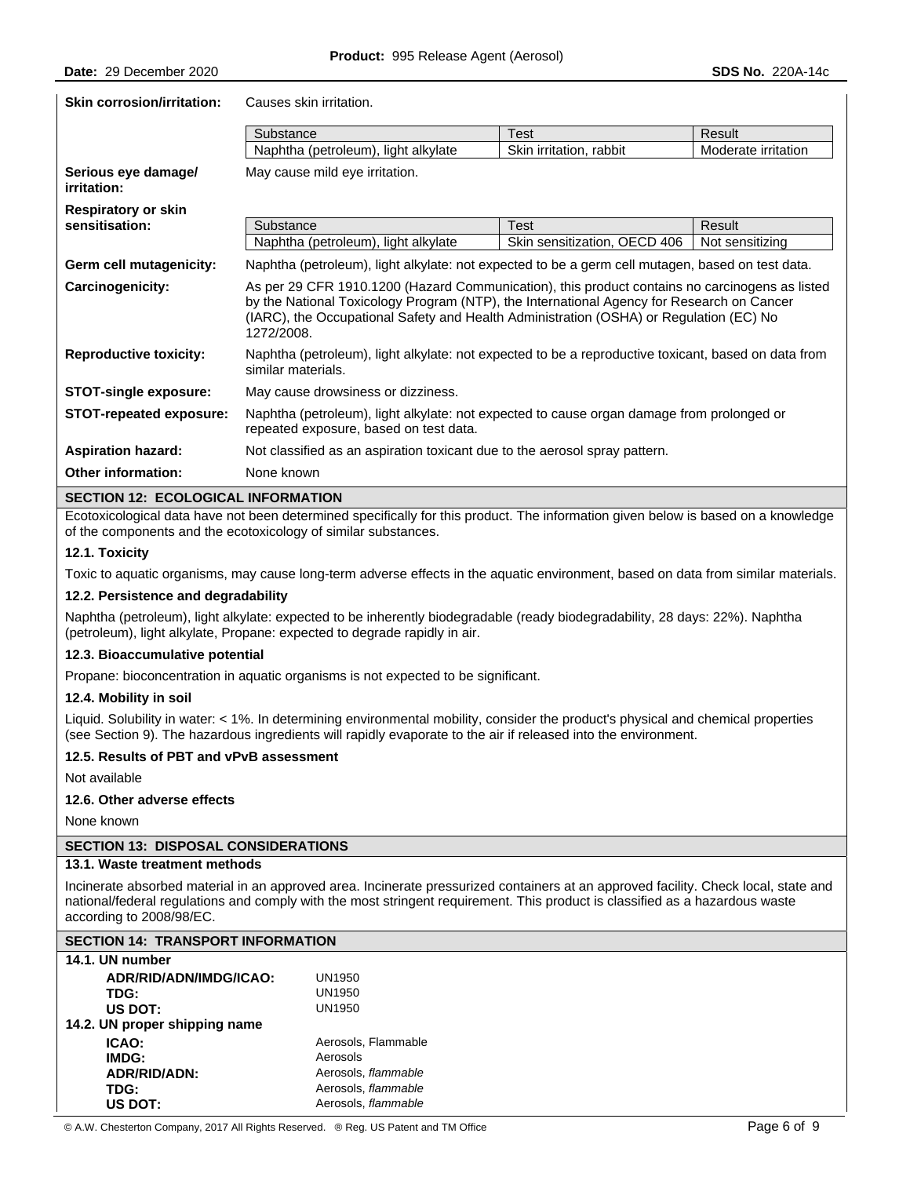| <b>Skin corrosion/irritation:</b>         | Causes skin irritation.                                                                                                                                                                                                                                                                             |                              |                     |  |
|-------------------------------------------|-----------------------------------------------------------------------------------------------------------------------------------------------------------------------------------------------------------------------------------------------------------------------------------------------------|------------------------------|---------------------|--|
|                                           | Substance                                                                                                                                                                                                                                                                                           | <b>Test</b>                  | Result              |  |
|                                           | Naphtha (petroleum), light alkylate                                                                                                                                                                                                                                                                 | Skin irritation, rabbit      | Moderate irritation |  |
| Serious eye damagel<br><i>irritation:</i> | May cause mild eye irritation.                                                                                                                                                                                                                                                                      |                              |                     |  |
| <b>Respiratory or skin</b>                |                                                                                                                                                                                                                                                                                                     |                              |                     |  |
| sensitisation:                            | Substance                                                                                                                                                                                                                                                                                           | <b>Test</b>                  | Result              |  |
|                                           | Naphtha (petroleum), light alkylate                                                                                                                                                                                                                                                                 | Skin sensitization, OECD 406 | Not sensitizing     |  |
| Germ cell mutagenicity:                   | Naphtha (petroleum), light alkylate: not expected to be a germ cell mutagen, based on test data.                                                                                                                                                                                                    |                              |                     |  |
| Carcinogenicity:                          | As per 29 CFR 1910.1200 (Hazard Communication), this product contains no carcinogens as listed<br>by the National Toxicology Program (NTP), the International Agency for Research on Cancer<br>(IARC), the Occupational Safety and Health Administration (OSHA) or Regulation (EC) No<br>1272/2008. |                              |                     |  |
| <b>Reproductive toxicity:</b>             | Naphtha (petroleum), light alkylate: not expected to be a reproductive toxicant, based on data from<br>similar materials.                                                                                                                                                                           |                              |                     |  |
| <b>STOT-single exposure:</b>              | May cause drowsiness or dizziness.                                                                                                                                                                                                                                                                  |                              |                     |  |
| STOT-repeated exposure:                   | Naphtha (petroleum), light alkylate: not expected to cause organ damage from prolonged or<br>repeated exposure, based on test data.                                                                                                                                                                 |                              |                     |  |
| <b>Aspiration hazard:</b>                 | Not classified as an aspiration toxicant due to the aerosol spray pattern.                                                                                                                                                                                                                          |                              |                     |  |
| <b>Other information:</b>                 | None known                                                                                                                                                                                                                                                                                          |                              |                     |  |
| CECTION 12. FCOLOGICAL INFODMATION        |                                                                                                                                                                                                                                                                                                     |                              |                     |  |

## **SECTION 12: ECOLOGICAL INFORMATION**

Ecotoxicological data have not been determined specifically for this product. The information given below is based on a knowledge of the components and the ecotoxicology of similar substances.

### **12.1. Toxicity**

Toxic to aquatic organisms, may cause long-term adverse effects in the aquatic environment, based on data from similar materials.

#### **12.2. Persistence and degradability**

Naphtha (petroleum), light alkylate: expected to be inherently biodegradable (ready biodegradability, 28 days: 22%). Naphtha (petroleum), light alkylate, Propane: expected to degrade rapidly in air.

#### **12.3. Bioaccumulative potential**

Propane: bioconcentration in aquatic organisms is not expected to be significant.

#### **12.4. Mobility in soil**

Liquid. Solubility in water: < 1%. In determining environmental mobility, consider the product's physical and chemical properties (see Section 9). The hazardous ingredients will rapidly evaporate to the air if released into the environment.

## **12.5. Results of PBT and vPvB assessment**

Not available

#### **12.6. Other adverse effects**

None known

#### **SECTION 13: DISPOSAL CONSIDERATIONS**

# **13.1. Waste treatment methods**

Incinerate absorbed material in an approved area. Incinerate pressurized containers at an approved facility. Check local, state and national/federal regulations and comply with the most stringent requirement. This product is classified as a hazardous waste according to 2008/98/EC.

### **SECTION 14: TRANSPORT INFORMATION**

| 14.1. UN number               |                     |
|-------------------------------|---------------------|
| ADR/RID/ADN/IMDG/ICAO:        | UN1950              |
| TDG:                          | <b>UN1950</b>       |
| US DOT:                       | UN1950              |
| 14.2. UN proper shipping name |                     |
| <b>ICAO:</b>                  | Aerosols, Flammable |
| IMDG:                         | Aerosols            |
| ADR/RID/ADN:                  | Aerosols, flammable |
| TDG:                          | Aerosols, flammable |
| US DOT:                       | Aerosols, flammable |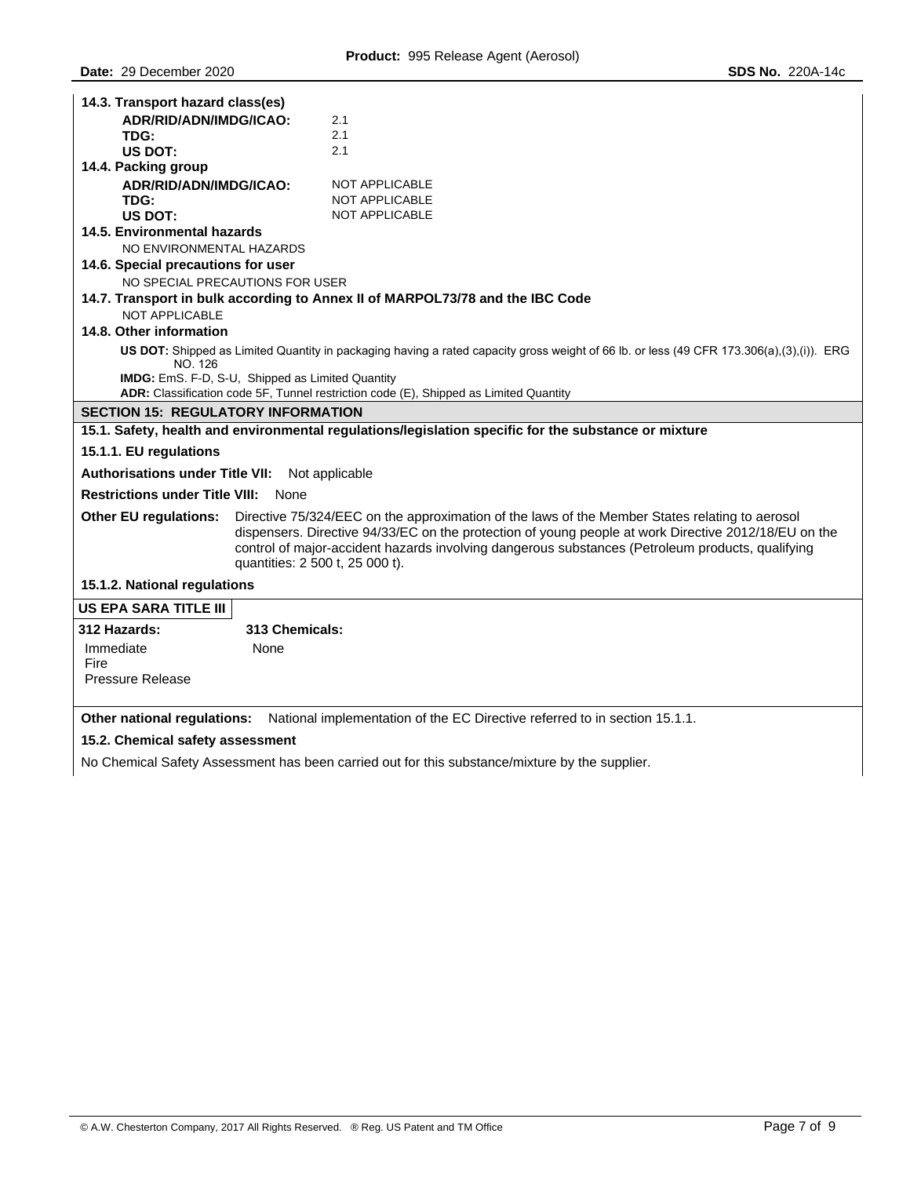| 14.3. Transport hazard class(es)                                |                                                                                                                                                                                                                                                                                                            |
|-----------------------------------------------------------------|------------------------------------------------------------------------------------------------------------------------------------------------------------------------------------------------------------------------------------------------------------------------------------------------------------|
| ADR/RID/ADN/IMDG/ICAO:                                          | 2.1                                                                                                                                                                                                                                                                                                        |
| TDG:                                                            | 2.1                                                                                                                                                                                                                                                                                                        |
| US DOT:                                                         | 2.1                                                                                                                                                                                                                                                                                                        |
| 14.4. Packing group                                             |                                                                                                                                                                                                                                                                                                            |
| ADR/RID/ADN/IMDG/ICAO:                                          | NOT APPLICABLE                                                                                                                                                                                                                                                                                             |
| TDG:                                                            | <b>NOT APPLICABLE</b>                                                                                                                                                                                                                                                                                      |
| US DOT:                                                         | <b>NOT APPLICABLE</b>                                                                                                                                                                                                                                                                                      |
| 14.5. Environmental hazards                                     |                                                                                                                                                                                                                                                                                                            |
| NO ENVIRONMENTAL HAZARDS                                        |                                                                                                                                                                                                                                                                                                            |
| 14.6. Special precautions for user                              |                                                                                                                                                                                                                                                                                                            |
| NO SPECIAL PRECAUTIONS FOR USER                                 |                                                                                                                                                                                                                                                                                                            |
| <b>NOT APPLICABLE</b>                                           | 14.7. Transport in bulk according to Annex II of MARPOL73/78 and the IBC Code                                                                                                                                                                                                                              |
| 14.8. Other information                                         |                                                                                                                                                                                                                                                                                                            |
| NO. 126                                                         | US DOT: Shipped as Limited Quantity in packaging having a rated capacity gross weight of 66 lb. or less (49 CFR 173.306(a),(3),(i)). ERG                                                                                                                                                                   |
| IMDG: EmS. F-D, S-U, Shipped as Limited Quantity                |                                                                                                                                                                                                                                                                                                            |
|                                                                 | ADR: Classification code 5F, Tunnel restriction code (E), Shipped as Limited Quantity                                                                                                                                                                                                                      |
| <b>SECTION 15: REGULATORY INFORMATION</b>                       |                                                                                                                                                                                                                                                                                                            |
|                                                                 | 15.1. Safety, health and environmental regulations/legislation specific for the substance or mixture                                                                                                                                                                                                       |
| 15.1.1. EU regulations                                          |                                                                                                                                                                                                                                                                                                            |
| Authorisations under Title VII: Not applicable                  |                                                                                                                                                                                                                                                                                                            |
| <b>Restrictions under Title VIII: None</b>                      |                                                                                                                                                                                                                                                                                                            |
| <b>Other EU regulations:</b><br>quantities: 2 500 t, 25 000 t). | Directive 75/324/EEC on the approximation of the laws of the Member States relating to aerosol<br>dispensers. Directive 94/33/EC on the protection of young people at work Directive 2012/18/EU on the<br>control of major-accident hazards involving dangerous substances (Petroleum products, qualifying |
| 15.1.2. National regulations                                    |                                                                                                                                                                                                                                                                                                            |
| <b>US EPA SARA TITLE III</b>                                    |                                                                                                                                                                                                                                                                                                            |
| 313 Chemicals:<br>312 Hazards:                                  |                                                                                                                                                                                                                                                                                                            |
| Immediate<br>None                                               |                                                                                                                                                                                                                                                                                                            |
| Fire                                                            |                                                                                                                                                                                                                                                                                                            |
| <b>Pressure Release</b>                                         |                                                                                                                                                                                                                                                                                                            |
|                                                                 | <b>Other national regulations:</b> National implementation of the EC Directive referred to in section 15.1.1.                                                                                                                                                                                              |
| 15.2. Chamical eafaty accordment                                |                                                                                                                                                                                                                                                                                                            |

**15.2. Chemical safety assessment** 

No Chemical Safety Assessment has been carried out for this substance/mixture by the supplier.